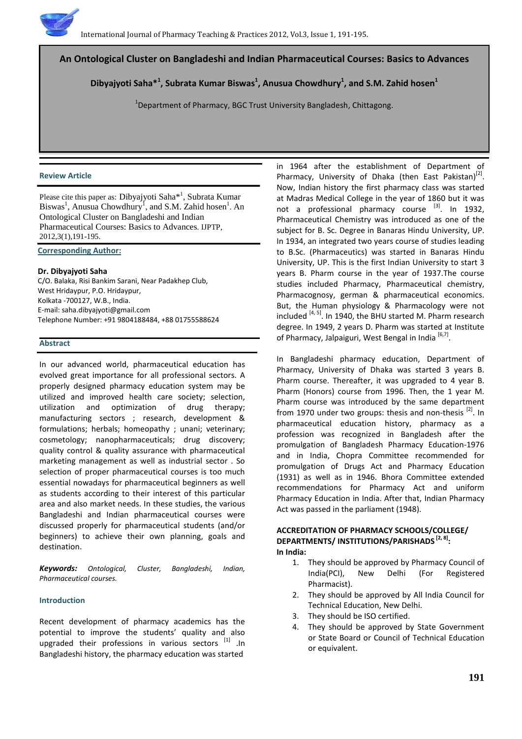

# **An Ontological Cluster on Bangladeshi and Indian Pharmaceutical Courses: Basics to Advances**

**Dibyajyoti Saha\*<sup>1</sup> , Subrata Kumar Biswas<sup>1</sup> , Anusua Chowdhury<sup>1</sup> , and S.M. Zahid hosen1**

 $^{1}$ Department of Pharmacy, BGC Trust University Bangladesh, Chittagong.

#### **Review Article**

Please cite this paper as: Dibyajyoti Saha\*<sup>1</sup>, Subrata Kumar Biswas<sup>1</sup>, Anusua Chowdhury<sup>1</sup>, and S.M. Zahid hosen<sup>1</sup>. An Ontological Cluster on Bangladeshi and Indian Pharmaceutical Courses: Basics to Advances. IJPTP, 2012,3(1),191-195.

**Corresponding Author:**

#### **Dr. Dibyajyoti Saha**

C/O. Balaka, Risi Bankim Sarani, Near Padakhep Club, West Hridaypur, P.O. Hridaypur, Kolkata -700127, W.B., India. E-mail[: saha.dibyajyoti@gmail.com](mailto:saha.dibyajyoti@gmail.com) Telephone Number: +91 9804188484, +88 01755588624

#### **Abstract**

In our advanced world, pharmaceutical education has evolved great importance for all professional sectors. A properly designed pharmacy education system may be utilized and improved health care society; selection, utilization and optimization of drug therapy; manufacturing sectors ; research, development & formulations; herbals; homeopathy ; unani; veterinary; cosmetology; nanopharmaceuticals; drug discovery; quality control & quality assurance with pharmaceutical marketing management as well as industrial sector . So selection of proper pharmaceutical courses is too much essential nowadays for pharmaceutical beginners as well as students according to their interest of this particular area and also market needs. In these studies, the various Bangladeshi and Indian pharmaceutical courses were discussed properly for pharmaceutical students (and/or beginners) to achieve their own planning, goals and destination.

*Keywords: Ontological, Cluster, Bangladeshi, Indian, Pharmaceutical courses.*

#### **Introduction**

Recent development of pharmacy academics has the potential to improve the students' quality and also upgraded their professions in various sectors [1] .In Bangladeshi history, the pharmacy education was started

in 1964 after the establishment of Department of Pharmacy, University of Dhaka (then East Pakistan)<sup>[2]</sup>. Now, Indian history the first pharmacy class was started at Madras Medical College in the year of 1860 but it was not a professional pharmacy course <sup>[3]</sup>. In 1932, Pharmaceutical Chemistry was introduced as one of the subject for B. Sc. Degree in Banaras Hindu University, UP. In 1934, an integrated two years course of studies leading to B.Sc. (Pharmaceutics) was started in Banaras Hindu University, UP. This is the first Indian University to start 3 years B. Pharm course in the year of 1937.The course studies included Pharmacy, Pharmaceutical chemistry, Pharmacognosy, german & pharmaceutical economics. But, the Human physiology & Pharmacology were not included  $[4, 5]$ . In 1940, the BHU started M. Pharm research degree. In 1949, 2 years D. Pharm was started at Institute of Pharmacy, Jalpaiguri, West Bengal in India<sup>[6,7]</sup>.

In Bangladeshi pharmacy education, Department of Pharmacy, University of Dhaka was started 3 years B. Pharm course. Thereafter, it was upgraded to 4 year B. Pharm (Honors) course from 1996. Then, the 1 year M. Pharm course was introduced by the same department from 1970 under two groups: thesis and non-thesis  $^{[2]}$ . In pharmaceutical education history, pharmacy as a profession was recognized in Bangladesh after the promulgation of Bangladesh Pharmacy Education-1976 and in India, Chopra Committee recommended for promulgation of Drugs Act and Pharmacy Education (1931) as well as in 1946. Bhora Committee extended recommendations for Pharmacy Act and uniform Pharmacy Education in India. After that, Indian Pharmacy Act was passed in the parliament (1948).

#### **ACCREDITATION OF PHARMACY SCHOOLS/COLLEGE/ DEPARTMENTS/ INSTITUTIONS/PARISHADS [2, 8]: In India:**

- 1. They should be approved by Pharmacy Council of India(PCI), New Delhi (For Registered Pharmacist).
- 2. They should be approved by All India Council for Technical Education, New Delhi.
- 3. They should be ISO certified.
- 4. They should be approved by State Government or State Board or Council of Technical Education or equivalent.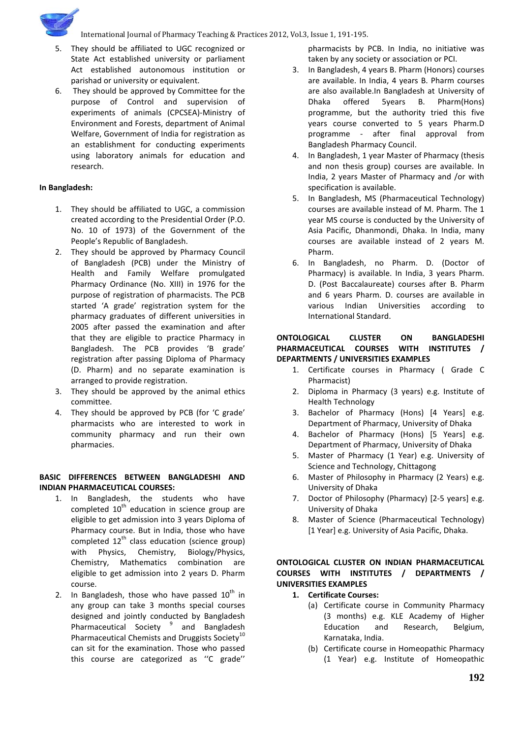

International Journal of Pharmacy Teaching & Practices 2012, Vol.3, Issue 1, 191-195.

- 5. They should be affiliated to UGC recognized or State Act established university or parliament Act established autonomous institution or parishad or university or equivalent.
- 6. They should be approved by Committee for the purpose of Control and supervision of experiments of animals (CPCSEA)-Ministry of Environment and Forests, department of Animal Welfare, Government of India for registration as an establishment for conducting experiments using laboratory animals for education and research.

# **In Bangladesh:**

- 1. They should be affiliated to UGC, a commission created according to the Presidential Order (P.O. No. 10 of 1973) of the Government of the People's Republic of Bangladesh.
- 2. They should be approved by Pharmacy Council of Bangladesh (PCB) under the Ministry of Health and Family Welfare promulgated Pharmacy Ordinance (No. XIII) in 1976 for the purpose of registration of pharmacists. The PCB started 'A grade' registration system for the pharmacy graduates of different universities in 2005 after passed the examination and after that they are eligible to practice Pharmacy in Bangladesh. The PCB provides 'B grade' registration after passing Diploma of Pharmacy (D. Pharm) and no separate examination is arranged to provide registration.
- 3. They should be approved by the animal ethics committee.
- 4. They should be approved by PCB (for 'C grade' pharmacists who are interested to work in community pharmacy and run their own pharmacies.

# **BASIC DIFFERENCES BETWEEN BANGLADESHI AND INDIAN PHARMACEUTICAL COURSES:**

- 1. In Bangladesh, the students who have completed  $10<sup>th</sup>$  education in science group are eligible to get admission into 3 years Diploma of Pharmacy course. But in India, those who have completed  $12^{th}$  class education (science group) with Physics, Chemistry, Biology/Physics, Chemistry, Mathematics combination are eligible to get admission into 2 years D. Pharm course.
- 2. In Bangladesh, those who have passed  $10^{th}$  in any group can take 3 months special courses designed and jointly conducted by Bangladesh Pharmaceutical Society<sup>9</sup> and Bangladesh Pharmaceutical Chemists and Druggists Society<sup>10</sup> can sit for the examination. Those who passed this course are categorized as ''C grade''

pharmacists by PCB. In India, no initiative was taken by any society or association or PCI.

- 3. In Bangladesh, 4 years B. Pharm (Honors) courses are available. In India, 4 years B. Pharm courses are also available.In Bangladesh at University of Dhaka offered 5years B. Pharm(Hons) programme, but the authority tried this five years course converted to 5 years Pharm.D programme - after final approval from Bangladesh Pharmacy Council.
- 4. In Bangladesh, 1 year Master of Pharmacy (thesis and non thesis group) courses are available. In India, 2 years Master of Pharmacy and /or with specification is available.
- 5. In Bangladesh, MS (Pharmaceutical Technology) courses are available instead of M. Pharm. The 1 year MS course is conducted by the University of Asia Pacific, Dhanmondi, Dhaka. In India, many courses are available instead of 2 years M. Pharm.
- 6. In Bangladesh, no Pharm. D. (Doctor of Pharmacy) is available. In India, 3 years Pharm. D. (Post Baccalaureate) courses after B. Pharm and 6 years Pharm. D. courses are available in various Indian Universities according to International Standard.

## **ONTOLOGICAL CLUSTER ON BANGLADESHI PHARMACEUTICAL COURSES WITH INSTITUTES / DEPARTMENTS / UNIVERSITIES EXAMPLES**

- 1. Certificate courses in Pharmacy ( Grade C Pharmacist)
- 2. Diploma in Pharmacy (3 years) e.g. Institute of Health Technology
- 3. Bachelor of Pharmacy (Hons) [4 Years] e.g. Department of Pharmacy, University of Dhaka
- 4. Bachelor of Pharmacy (Hons) [5 Years] e.g. Department of Pharmacy, University of Dhaka
- 5. Master of Pharmacy (1 Year) e.g. University of Science and Technology, Chittagong
- 6. Master of Philosophy in Pharmacy (2 Years) e.g. University of Dhaka
- 7. Doctor of Philosophy (Pharmacy) [2-5 years] e.g. University of Dhaka
- 8. Master of Science (Pharmaceutical Technology) [1 Year] e.g. University of Asia Pacific, Dhaka.

# **ONTOLOGICAL CLUSTER ON INDIAN PHARMACEUTICAL COURSES WITH INSTITUTES / DEPARTMENTS / UNIVERSITIES EXAMPLES**

- **1. Certificate Courses:**
	- (a) Certificate course in Community Pharmacy (3 months) e.g. KLE Academy of Higher Education and Research, Belgium, Karnataka, India.
	- (b) Certificate course in Homeopathic Pharmacy (1 Year) e.g. Institute of Homeopathic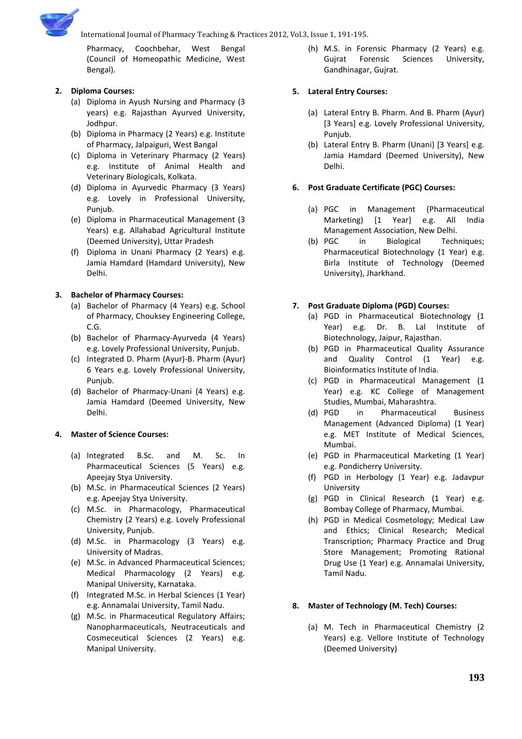

International Journal of Pharmacy Teaching & Practices 2012, Vol.3, Issue 1, 191-195.

Pharmacy, Coochbehar, West Bengal (Council of Homeopathic Medicine, West Bengal).

# **2. Diploma Courses:**

- (a) Diploma in Ayush Nursing and Pharmacy (3 years) e.g. Rajasthan Ayurved University, Jodhpur.
- (b) Diploma in Pharmacy (2 Years) e.g. Institute of Pharmacy, Jalpaiguri, West Bangal
- (c) Diploma in Veterinary Pharmacy (2 Years) e.g. Institute of Animal Health and Veterinary Biologicals, Kolkata.
- (d) Diploma in Ayurvedic Pharmacy (3 Years) e.g. Lovely in Professional University, Punjub.
- (e) Diploma in Pharmaceutical Management (3 Years) e.g. Allahabad Agricultural Institute (Deemed University), Uttar Pradesh
- (f) Diploma in Unani Pharmacy (2 Years) e.g. Jamia Hamdard (Hamdard University), New Delhi.

# **3. Bachelor of Pharmacy Courses:**

- (a) Bachelor of Pharmacy (4 Years) e.g. School of Pharmacy, Chouksey Engineering College, C.G.
- (b) Bachelor of Pharmacy-Ayurveda (4 Years) e.g. Lovely Professional University, Punjub.
- (c) Integrated D. Pharm (Ayur)-B. Pharm (Ayur) 6 Years e.g. Lovely Professional University, Punjub.
- (d) Bachelor of Pharmacy-Unani (4 Years) e.g. Jamia Hamdard (Deemed University, New Delhi.

## **4. Master of Science Courses:**

- (a) Integrated B.Sc. and M. Sc. In Pharmaceutical Sciences (5 Years) e.g. Apeejay Stya University.
- (b) M.Sc. in Pharmaceutical Sciences (2 Years) e.g. Apeejay Stya University.
- (c) M.Sc. in Pharmacology, Pharmaceutical Chemistry (2 Years) e.g. Lovely Professional University, Punjub.
- (d) M.Sc. in Pharmacology (3 Years) e.g. University of Madras.
- (e) M.Sc. in Advanced Pharmaceutical Sciences; Medical Pharmacology (2 Years) e.g. Manipal University, Karnataka.
- (f) Integrated M.Sc. in Herbal Sciences (1 Year) e.g. Annamalai University, Tamil Nadu.
- (g) M.Sc. in Pharmaceutical Regulatory Affairs; Nanopharmaceuticals, Neutraceuticals and Cosmeceutical Sciences (2 Years) e.g. Manipal University.

(h) M.S. in Forensic Pharmacy (2 Years) e.g. Gujrat Forensic Sciences University, Gandhinagar, Gujrat.

## **5. Lateral Entry Courses:**

- (a) Lateral Entry B. Pharm. And B. Pharm (Ayur) [3 Years] e.g. Lovely Professional University, Punjub.
- (b) Lateral Entry B. Pharm (Unani) [3 Years] e.g. Jamia Hamdard (Deemed University), New Delhi.

# **6. Post Graduate Certificate (PGC) Courses:**

- (a) PGC in Management (Pharmaceutical Marketing) [1 Year] e.g. All India Management Association, New Delhi.
- (b) PGC in Biological Techniques; Pharmaceutical Biotechnology (1 Year) e.g. Birla Institute of Technology (Deemed University), Jharkhand.

# **7. Post Graduate Diploma (PGD) Courses:**

- (a) PGD in Pharmaceutical Biotechnology (1 Year) e.g. Dr. B. Lal Institute of Biotechnology, Jaipur, Rajasthan.
- (b) PGD in Pharmaceutical Quality Assurance and Quality Control (1 Year) e.g. Bioinformatics Institute of India.
- (c) PGD in Pharmaceutical Management (1 Year) e.g. KC College of Management Studies, Mumbai, Maharashtra.
- (d) PGD in Pharmaceutical Business Management (Advanced Diploma) (1 Year) e.g. MET Institute of Medical Sciences, Mumbai.
- (e) PGD in Pharmaceutical Marketing (1 Year) e.g. Pondicherry University.
- (f) PGD in Herbology (1 Year) e.g. Jadavpur University
- (g) PGD in Clinical Research (1 Year) e.g. Bombay College of Pharmacy, Mumbai.
- (h) PGD in Medical Cosmetology; Medical Law and Ethics; Clinical Research; Medical Transcription; Pharmacy Practice and Drug Store Management; Promoting Rational Drug Use (1 Year) e.g. Annamalai University, Tamil Nadu.

## **8. Master of Technology (M. Tech) Courses:**

(a) M. Tech in Pharmaceutical Chemistry (2 Years) e.g. Vellore Institute of Technology (Deemed University)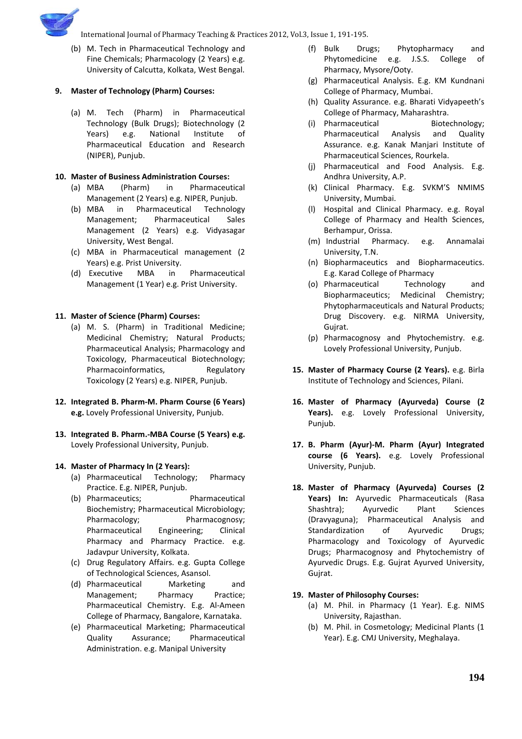

(b) M. Tech in Pharmaceutical Technology and Fine Chemicals; Pharmacology (2 Years) e.g. University of Calcutta, Kolkata, West Bengal.

## **9. Master of Technology (Pharm) Courses:**

(a) M. Tech (Pharm) in Pharmaceutical Technology (Bulk Drugs); Biotechnology (2 Years) e.g. National Institute of Pharmaceutical Education and Research (NIPER), Punjub.

## **10. Master of Business Administration Courses:**

- (a) MBA (Pharm) in Pharmaceutical Management (2 Years) e.g. NIPER, Punjub.
- (b) MBA in Pharmaceutical Technology Management; Pharmaceutical Sales Management (2 Years) e.g. Vidyasagar University, West Bengal.
- (c) MBA in Pharmaceutical management (2 Years) e.g. Prist University.
- (d) Executive MBA in Pharmaceutical Management (1 Year) e.g. Prist University.

# **11. Master of Science (Pharm) Courses:**

- (a) M. S. (Pharm) in Traditional Medicine; Medicinal Chemistry; Natural Products; Pharmaceutical Analysis; Pharmacology and Toxicology, Pharmaceutical Biotechnology; Pharmacoinformatics, Regulatory Toxicology (2 Years) e.g. NIPER, Punjub.
- **12. Integrated B. Pharm-M. Pharm Course (6 Years) e.g.** Lovely Professional University, Punjub.
- **13. Integrated B. Pharm.-MBA Course (5 Years) e.g.**  Lovely Professional University, Punjub.

## **14. Master of Pharmacy In (2 Years):**

- (a) Pharmaceutical Technology; Pharmacy Practice. E.g. NIPER, Punjub.
- (b) Pharmaceutics; Pharmaceutical Biochemistry; Pharmaceutical Microbiology; Pharmacology; Pharmacognosy; Pharmaceutical Engineering; Clinical Pharmacy and Pharmacy Practice. e.g. Jadavpur University, Kolkata.
- (c) Drug Regulatory Affairs. e.g. Gupta College of Technological Sciences, Asansol.
- (d) Pharmaceutical Marketing and Management; Pharmacy Practice; Pharmaceutical Chemistry. E.g. Al-Ameen College of Pharmacy, Bangalore, Karnataka.
- (e) Pharmaceutical Marketing; Pharmaceutical Quality Assurance; Pharmaceutical Administration. e.g. Manipal University
- (f) Bulk Drugs; Phytopharmacy and Phytomedicine e.g. J.S.S. College of Pharmacy, Mysore/Ooty.
- (g) Pharmaceutical Analysis. E.g. KM Kundnani College of Pharmacy, Mumbai.
- (h) Quality Assurance. e.g. Bharati Vidyapeeth's College of Pharmacy, Maharashtra.
- (i) Pharmaceutical Biotechnology; Pharmaceutical Analysis and Quality Assurance. e.g. Kanak Manjari Institute of Pharmaceutical Sciences, Rourkela.
- (j) Pharmaceutical and Food Analysis. E.g. Andhra University, A.P.
- (k) Clinical Pharmacy. E.g. SVKM'S NMIMS University, Mumbai.
- (l) Hospital and Clinical Pharmacy. e.g. Royal College of Pharmacy and Health Sciences, Berhampur, Orissa.
- (m) Industrial Pharmacy. e.g. Annamalai University, T.N.
- (n) Biopharmaceutics and Biopharmaceutics. E.g. Karad College of Pharmacy
- (o) Pharmaceutical Technology and Biopharmaceutics; Medicinal Chemistry; Phytopharmaceuticals and Natural Products; Drug Discovery. e.g. NIRMA University, Gujrat.
- (p) Pharmacognosy and Phytochemistry. e.g. Lovely Professional University, Punjub.
- **15. Master of Pharmacy Course (2 Years).** e.g. Birla Institute of Technology and Sciences, Pilani.
- **16. Master of Pharmacy (Ayurveda) Course (2 Years).** e.g. Lovely Professional University, Punjub.
- **17. B. Pharm (Ayur)-M. Pharm (Ayur) Integrated course (6 Years).** e.g. Lovely Professional University, Punjub.
- **18. Master of Pharmacy (Ayurveda) Courses (2 Years) In:** Ayurvedic Pharmaceuticals (Rasa Shashtra); Ayurvedic Plant Sciences (Dravyaguna); Pharmaceutical Analysis and Standardization of Ayurvedic Drugs; Pharmacology and Toxicology of Ayurvedic Drugs; Pharmacognosy and Phytochemistry of Ayurvedic Drugs. E.g. Gujrat Ayurved University, Gujrat.

## **19. Master of Philosophy Courses:**

- (a) M. Phil. in Pharmacy (1 Year). E.g. NIMS University, Rajasthan.
- (b) M. Phil. in Cosmetology; Medicinal Plants (1 Year). E.g. CMJ University, Meghalaya.